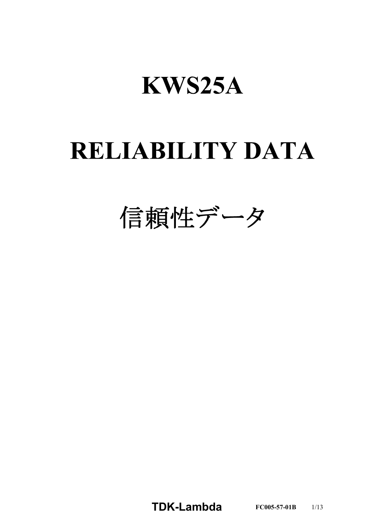# **KWS25A**

# **RELIABILITY DATA**

信頼性データ

**TDKLambda FC0055701B** 1/13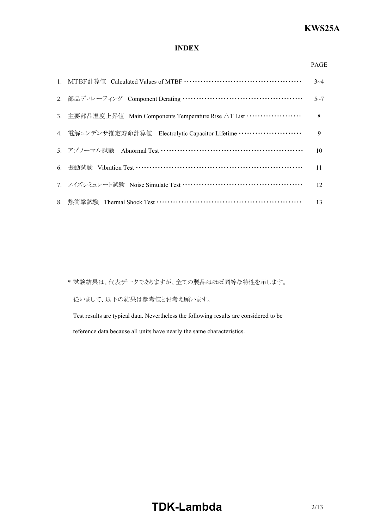### **INDEX**

| ۰, |
|----|

|                                                               | $3 - 4$ |
|---------------------------------------------------------------|---------|
|                                                               | $5 - 7$ |
| 3. 主要部品温度上昇值 Main Components Temperature Rise △T List ………………… | 8       |
| 4. 電解コンデンサ推定寿命計算値 Electrolytic Capacitor Lifetime ……………………    | 9       |
| 5. アブノーマル試験 Abnormal Test ……………………………………………………                | 10      |
|                                                               | 11      |
| 7. ノイズシミュレート試験 Noise Simulate Test …………………………………………           | 12      |
|                                                               | 13      |

\* 試験結果は、代表データでありますが、全ての製品はほぼ同等な特性を示します。 従いまして、以下の結果は参考値とお考え願います。

Test results are typical data. Nevertheless the following results are considered to be reference data because all units have nearly the same characteristics.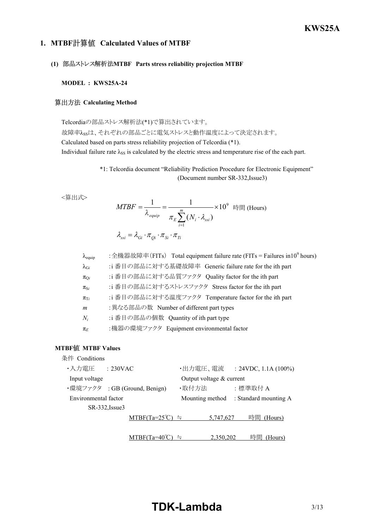### *RWS 50B600B Series* **KWS25A**

### **1. MTBF Calculated Values of MTBF**

### **(1) MTBF Parts stress reliability projection MTBF**

#### **MODEL : KWS25A-24**

### **算出方法 Calculating Method**

Telcordiaの部品ストレス解析法(\*1)で算出されています。

故障率λssは、それぞれの部品ごとに電気ストレスと動作温度によって決定されます。 Calculated based on parts stress reliability projection of Telcordia (\*1). Individual failure rate  $\lambda_{SS}$  is calculated by the electric stress and temperature rise of the each part.

> \*1: Telcordia document "Reliability Prediction Procedure for Electronic Equipment" (Document number SR-332, Issue3)

<算出式>

$$
MTBF = \frac{1}{\lambda_{equip}} = \frac{1}{\pi_E \sum_{i=1}^{m} (N_i \cdot \lambda_{ssi})} \times 10^9 \text{ H, (Hours)}
$$

$$
\lambda_{ssi} = \lambda_{Gi} \cdot \pi_{Qi} \cdot \pi_{Si} \cdot \pi_{Ti}
$$

| $\lambda_{\text{equip}}$ | : 全機器故障率(FITs) Total equipment failure rate (FITs = Failures in 10 <sup>9</sup> hours) |
|--------------------------|----------------------------------------------------------------------------------------|
| $\lambda_{\mathrm{G}i}$  | :i 番目の部品に対する基礎故障率 Generic failure rate for the ith part                                |
| $\pi_{\text{O}i}$        | :i 番目の部品に対する品質ファクタ Quality factor for the ith part                                     |
| $\pi_{S_i}$              | :i 番目の部品に対するストレスファクタ Stress factor for the ith part                                    |
| $\pi_{Ti}$               | :i 番目の部品に対する温度ファクタ Temperature factor for the ith part                                 |
| m                        | : 異なる部品の数 Number of different part types                                               |
| $N_i$                    | :i 番目の部品の個数 Quantity of ith part type                                                  |
| $\pi_E$                  | :機器の環境ファクタ Equipment environmental factor                                              |

### **MTBF MTBF Values**

| 条件 Conditions                 |                                 |                            |                                       |
|-------------------------------|---------------------------------|----------------------------|---------------------------------------|
| ・入力電圧<br>: 230VAC             |                                 | ・出力電圧、電流                   | : $24VDC$ , $1.1A(100\%)$             |
| Input voltage                 |                                 | Output voltage $&$ current |                                       |
| ・環境ファクタ : GB (Ground, Benign) |                                 | ・取付方法                      | :標準取付 A                               |
| Environmental factor          |                                 |                            | Mounting method : Standard mounting A |
| SR-332, Issue3                |                                 |                            |                                       |
|                               | $MTBF(Ta=25^{\circ}\text{C})$ = | 5,747,627                  | 時間<br>(Hours)                         |
|                               |                                 |                            |                                       |
|                               | BF(Ta=4                         | 2.350.202                  | 時間<br>(Hours)                         |

## **TDK-Lambda** 3/13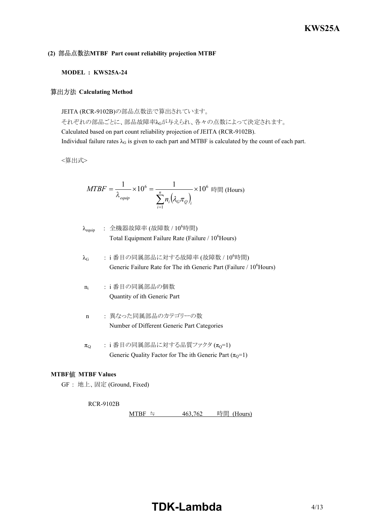### **(2) MTBF Part count reliability projection MTBF**

### **MODEL : KWS25A-24**

#### **算出方法 Calculating Method**

JEITA (RCR-9102B)の部品点数法で算出されています。 それぞれの部品ごとに、部品故障率λGが与えられ、各々の点数によって決定されます。 Calculated based on part count reliability projection of JEITA (RCR-9102B). Individual failure rates  $\lambda_G$  is given to each part and MTBF is calculated by the count of each part.

<算出式>

$$
MTBF = \frac{1}{\lambda_{\text{equip}}} \times 10^6 = \frac{1}{\sum_{i=1}^n n_i (\lambda_{\text{c}} \pi_{\text{c}})_i} \times 10^6 \text{ }\text{iff} \text{ } (\text{Hours})
$$

| $\lambda_{\text{equip}}$ | : 全機器故障率 (故障数 / $10^6$ 時間)                                     |
|--------------------------|----------------------------------------------------------------|
|                          | Total Equipment Failure Rate (Failure / 10 <sup>6</sup> Hours) |

- $\lambda_G$  : i 番目の同属部品に対する故障率 (故障数 / 10 $^6$ 時間) Generic Failure Rate for The ith Generic Part (Failure / 10<sup>6</sup>Hours)
- $n_i$ : i 番目の同属部品の個数 Quantity of ith Generic Part
- n : 異なった同属部品のカテゴリーの数 Number of Different Generic Part Categories
- $\pi_{Q}$  : i 番目の同属部品に対する品質ファクタ $(\pi_{Q}=1)$ Generic Quality Factor for The ith Generic Part  $(\pi_0=1)$

### **MTBF MTBF Values**

GF : 地上、固定 (Ground, Fixed)

#### RCR-9102B

MTBF ≒ 463,762 時間 (Hours)

# **TDK-Lambda** 4/13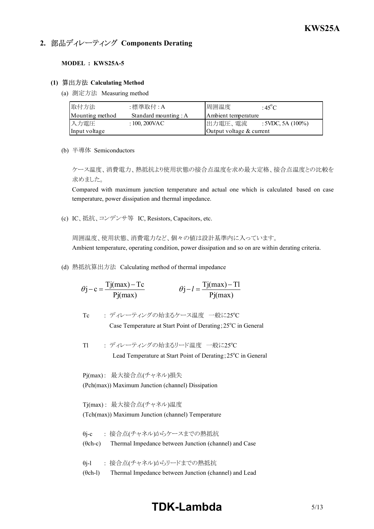### **2. 部品ディレーティング Components Derating**

#### **MODEL : KWS25A-5**

### **(1) Calculating Method**

(a) 測定方法 Measuring method

| 取付方法            | :標準取付 : A             | 周囲温度                     | :45 $^{\circ}$ C     |
|-----------------|-----------------------|--------------------------|----------------------|
| Mounting method | Standard mounting : A | Ambient temperature      |                      |
| 入力電圧            | $:100,200\text{VAC}$  | 出力電圧、電流                  | : 5VDC, 5A $(100\%)$ |
| Input voltage   |                       | Output voltage & current |                      |

(b) 半導体 Semiconductors

ケース温度、消費電力、熱抵抗より使用状態の接合点温度を求め最大定格、接合点温度との比較を 求めました。

Compared with maximum junction temperature and actual one which is calculated based on case temperature, power dissipation and thermal impedance.

(c) IC、抵抗、コンデンサ等 IC, Resistors, Capacitors, etc.

周囲温度、使用状態、消費電力など、個々の値は設計基準内に入っています。 Ambient temperature, operating condition, power dissipation and so on are within derating criteria.

(d) 熱抵抗算出方法 Calculating method of thermal impedance

$$
\theta j - c = \frac{Tj(max) - Tc}{Pj(max)} \qquad \theta j - l = \frac{Tj(max) - Tl}{Pj(max)}
$$

Tc : ディレーティングの始まるケース温度 一般に25°C

Case Temperature at Start Point of Derating;  $25^{\circ}$ C in General

Tl : ディレーティングの始まるリード温度 一般に25°C Lead Temperature at Start Point of Derating;  $25^{\circ}$ C in General

Pj(max) : 最大接合点(チャネル)損失 (Pch(max)) Maximum Junction (channel) Dissipation

Tj(max) : 最大接合点(チャネル)温度 (Tch(max)) Maximum Junction (channel) Temperature

- θjc : 接合点(チャネル)からケースまでの熱抵抗  $(\theta$ ch-c) Thermal Impedance between Junction (channel) and Case
- θj-l : 接合点(チャネル)からリードまでの熱抵抗
- $(\theta$ ch-l) Thermal Impedance between Junction (channel) and Lead

## **TDK-Lambda** 5/13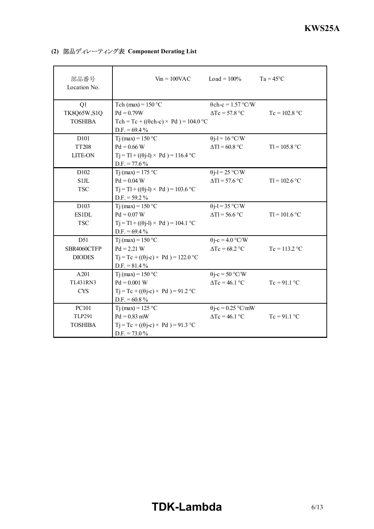| 部品番号<br>Location No.    | $V_{in} = 100$ VAC                                               | $Load = 100\%$                                     | $Ta = 45^{\circ}C$ |
|-------------------------|------------------------------------------------------------------|----------------------------------------------------|--------------------|
| Q1<br>TK8Q65W,S1Q       | Tch (max) = $150 °C$<br>$Pd = 0.79W$                             | $\theta$ ch-c = 1.57 °C/W<br>$\Delta Tc = 57.8$ °C | $Tc = 102.8 °C$    |
| <b>TOSHIBA</b>          | Tch = Tc + (( $\theta$ ch-c) × Pd) = 104.0 °C<br>$D.F. = 69.4\%$ |                                                    |                    |
| D <sub>10</sub> 1       | Tj (max) = $150 °C$                                              | $\theta$ j-l = 16 °C/W                             |                    |
| <b>TT208</b>            | $Pd = 0.66 W$                                                    | $\Delta T l = 60.8$ °C                             | $TI = 105.8 °C$    |
| <b>LITE-ON</b>          | $Tj = T1 + ((\theta j - 1) \times Pd) = 116.4$ °C                |                                                    |                    |
|                         | $D.F. = 77.6\%$                                                  |                                                    |                    |
| D <sub>102</sub>        | T <sub>j</sub> (max) = 175 °C                                    | $\theta$ j-l = 25 °C/W                             |                    |
| <b>S1JL</b>             | $Pd = 0.04 W$                                                    | $\Delta T l$ = 57.6 °C                             | $TI = 102.6 °C$    |
| <b>TSC</b>              | $Tj = Tl + ((\theta j - l) \times Pd) = 103.6 °C$                |                                                    |                    |
|                         | $D.F. = 59.2 \%$                                                 |                                                    |                    |
| D <sub>103</sub>        | Tj (max) = $150 °C$                                              | $\theta$ j-l = 35 °C/W                             |                    |
| <b>ES1DL</b>            | $Pd = 0.07 W$                                                    | $\Delta T l = 56.6$ °C                             | $TI = 101.6 °C$    |
| <b>TSC</b>              | $Tj = T1 + ((\theta j - 1) \times Pd) = 104.1$ °C                |                                                    |                    |
|                         | $D.F. = 69.4\%$                                                  |                                                    |                    |
| D51                     | T <sub>j</sub> (max) = $150 °C$                                  | $\theta$ j-c = 4.0 °C/W                            |                    |
| SBR4060CTFP             | $Pd = 2.21 W$                                                    | $\Delta Tc = 68.2$ °C                              | $Tc = 113.2 °C$    |
| <b>DIODES</b>           | $Tj = Tc + ((\theta j - c) \times Pd) = 122.0 °C$                |                                                    |                    |
|                         | $D.F. = 81.4\%$                                                  |                                                    |                    |
| A201<br><b>TL431RN3</b> | T <sub>j</sub> (max) = $150$ °C                                  | $\theta$ j-c = 50 °C/W                             |                    |
|                         | $Pd = 0.001 W$                                                   | $\Delta Tc = 46.1$ °C                              | $Tc = 91.1$ °C     |
| <b>CYS</b>              | $Tj = Tc + ((\theta j - c) \times Pd) = 91.2$ °C                 |                                                    |                    |
| <b>PC101</b>            | $D.F. = 60.8 \%$<br>Tj (max) = $125 °C$                          | $\theta$ j-c = 0.25 °C/mW                          |                    |
| <b>TLP291</b>           | $Pd = 0.83$ mW                                                   | $\Delta Tc = 46.1$ °C                              | $Tc = 91.1 °C$     |
| <b>TOSHIBA</b>          | $Tj = Tc + ((\theta j - c) \times Pd) = 91.3$ °C                 |                                                    |                    |
|                         | $D.F. = 73.0\%$                                                  |                                                    |                    |
|                         |                                                                  |                                                    |                    |

**(2) 部品ディレーティング表 Component Derating List**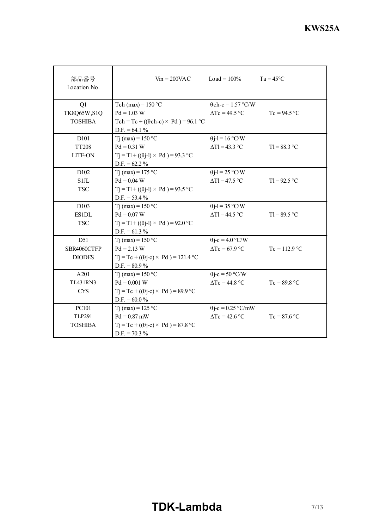| 部品番号<br>Location No. | $V_{in} = 200 \text{VAC}$ $\qquad \qquad$ Load = 100% |                           | $Ta = 45^{\circ}C$ |
|----------------------|-------------------------------------------------------|---------------------------|--------------------|
| Q1                   | Tch (max) = $150 °C$                                  | $\theta$ ch-c = 1.57 °C/W |                    |
| <b>TK8Q65W,S1Q</b>   | $Pd = 1.03 W$                                         | $\Delta Tc = 49.5$ °C     | $Tc = 94.5 °C$     |
| <b>TOSHIBA</b>       | Tch = Tc + (( $\theta$ ch-c) × Pd) = 96.1 °C          |                           |                    |
|                      | $D.F. = 64.1 \%$                                      |                           |                    |
| D <sub>101</sub>     | $Ti$ (max) = 150 °C                                   | $\theta$ j-l = 16 °C/W    |                    |
| <b>TT208</b>         | $Pd = 0.31 W$                                         | $\Delta T l$ = 43.3 °C    | $T1 = 88.3 °C$     |
| <b>LITE-ON</b>       | $Tj = Tl + ((\theta j - l) \times Pd) = 93.3$ °C      |                           |                    |
|                      | $D.F. = 62.2 \%$                                      |                           |                    |
| D <sub>102</sub>     | $Ti$ (max) = 175 °C                                   | $\theta$ j-l = 25 °C/W    |                    |
| S1JL                 | $Pd = 0.04 W$                                         | $\Delta T l$ = 47.5 °C    | $TI = 92.5 °C$     |
| <b>TSC</b>           | $Tj = T1 + ((\theta j - 1) \times Pd) = 93.5 °C$      |                           |                    |
|                      | $D.F. = 53.4\%$                                       |                           |                    |
| D103                 | Tj (max) = $150 °C$                                   | $\theta$ j-l = 35 °C/W    |                    |
| <b>ES1DL</b>         | $Pd = 0.07 W$                                         | $\Delta T$ l = 44.5 °C    | $T = 89.5 °C$      |
| <b>TSC</b>           | $Tj = T1 + ((\theta j - 1) \times Pd) = 92.0 °C$      |                           |                    |
|                      | $D.F. = 61.3 \%$                                      |                           |                    |
| D51                  | Tj (max) = $150 °C$                                   | $\theta$ j-c = 4.0 °C/W   |                    |
| SBR4060CTFP          | $Pd = 2.13 W$                                         | $\Delta Tc = 67.9$ °C     | $Tc = 112.9 °C$    |
| <b>DIODES</b>        | $Tj = Tc + ((\theta j - c) \times Pd) = 121.4$ °C     |                           |                    |
| A201                 | $D.F. = 80.9\%$<br>Tj (max) = $150 °C$                | $\theta$ j-c = 50 °C/W    |                    |
| <b>TI431RN3</b>      | $Pd = 0.001 W$                                        | $\Delta Tc = 44.8$ °C     | $Tc = 89.8 °C$     |
| <b>CYS</b>           | $Tj = Tc + ((\theta j - c) \times Pd) = 89.9$ °C      |                           |                    |
|                      | $D.F. = 60.0\%$                                       |                           |                    |
| <b>PC101</b>         | Tj (max) = $125$ °C                                   | $\theta$ j-c = 0.25 °C/mW |                    |
| <b>TLP291</b>        | $Pd = 0.87$ mW                                        | $\Delta Tc = 42.6$ °C     | $Tc = 87.6 °C$     |
| <b>TOSHIBA</b>       | $Tj = Tc + ((\theta j - c) \times Pd) = 87.8$ °C      |                           |                    |
|                      | $D.F. = 70.3 %$                                       |                           |                    |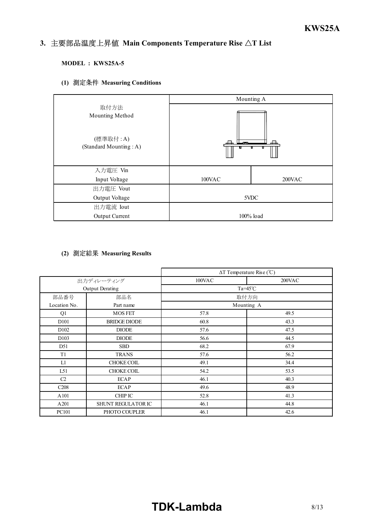#### *INSTRUCTION MANUAL* 3. 主要部品温度上昇值 Main Components Temperature Rise  $\Delta T$  List

### **MODEL : KWS25A-5**

### **(1) Measuring Conditions**



### **(2) Measuring Results**

|                   |                     |        | $\Delta T$ Temperature Rise (°C) |
|-------------------|---------------------|--------|----------------------------------|
|                   | 出力ディレーティング          | 100VAC | 200VAC                           |
|                   | Output Derating     |        | $Ta=45^{\circ}C$                 |
| 部品番号              | 部品名                 |        | 取付方向                             |
| Location No.      | Part name           |        | Mounting A                       |
| Q1                | <b>MOS FET</b>      | 57.8   | 49.5                             |
| D <sub>10</sub> 1 | <b>BRIDGE DIODE</b> | 60.8   | 43.3                             |
| D <sub>102</sub>  | <b>DIODE</b>        | 57.6   | 47.5                             |
| D <sub>103</sub>  | <b>DIODE</b>        | 56.6   | 44.5                             |
| D51               | <b>SBD</b>          | 68.2   | 67.9                             |
| T1                | <b>TRANS</b>        | 57.6   | 56.2                             |
| L1                | <b>CHOKE COIL</b>   | 49.1   | 34.4                             |
| L51               | <b>CHOKE COIL</b>   | 54.2   | 53.5                             |
| C <sub>2</sub>    | <b>ECAP</b>         | 46.1   | 40.3                             |
| C <sub>208</sub>  | <b>ECAP</b>         | 49.6   | 48.9                             |
| A101              | <b>CHIP IC</b>      | 52.8   | 41.3                             |
| A201              | SHUNT REGULATOR IC  | 46.1   | 44.8                             |
| PC101             | PHOTO COUPLER       | 46.1   | 42.6                             |

# **TDK-Lambda** 8/13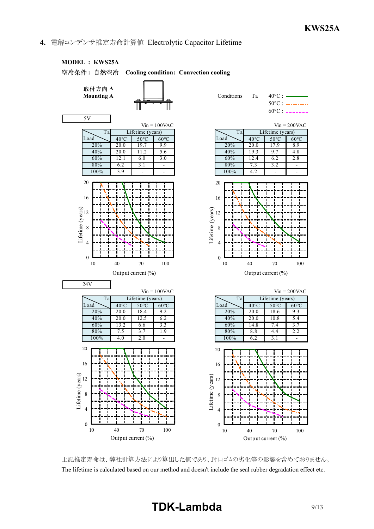### **4.** 電解コンデンサ推定寿命計算値 Electrolytic Capacitor Lifetime



上記推定寿命は、弊社計算方法により算出した値であり、封口ゴムの劣化等の影響を含めておりません。 The lifetime is calculated based on our method and doesn't include the seal rubber degradation effect etc.

# **TDK-Lambda** 9/13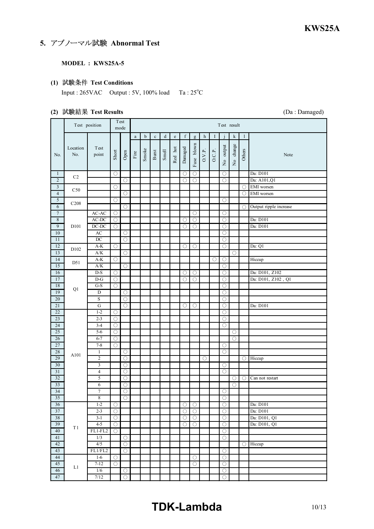### **5. アブノーマル試験 Abnormal Test**

### **MODEL : KWS25A-5**

### **(1) Test Conditions**

Input :  $265VAC$  Output :  $5V$ ,  $100\%$  load Ta :  $25^{\circ}C$ 

### **(2) Test Results** (Da : Damaged)

 $\mathsf{r}$ 

|                                      | Test position    |                    |                                | Test<br>mode        | Test result           |             |                                  |         |         |                          |                                     |        |        |                                              |                     |                     |                          |  |  |  |  |  |
|--------------------------------------|------------------|--------------------|--------------------------------|---------------------|-----------------------|-------------|----------------------------------|---------|---------|--------------------------|-------------------------------------|--------|--------|----------------------------------------------|---------------------|---------------------|--------------------------|--|--|--|--|--|
|                                      |                  |                    |                                |                     | $\rm{a}$              | $\mathbf b$ | $\mathbf c$                      | $\rm d$ | $\rm e$ | $\mathbf f$              | g                                   | h      | I      |                                              | k                   | 1                   |                          |  |  |  |  |  |
| No.                                  | Location<br>No.  | Test<br>point      | Short                          | Open                | $\operatorname{Fire}$ | Smoke       | $_{\mbox{\footnotesize{Burst}}}$ | Smell   | Red hot | Damaged                  | Fuse blown                          | O.V.P. | O.C.P. | No output                                    | No change           | Others              | Note                     |  |  |  |  |  |
| $\mathbf{1}$                         | C <sub>2</sub>   |                    | O                              |                     |                       |             |                                  |         |         | $\circ$                  | O                                   |        |        | O                                            |                     |                     | Da: D101                 |  |  |  |  |  |
| $\overline{2}$                       |                  |                    |                                | $\circlearrowright$ |                       |             |                                  |         |         | $\circ$                  | $\bigcirc$                          |        |        | $\bigcirc$                                   |                     |                     | Da: A101, Q1             |  |  |  |  |  |
| 3                                    | C50              |                    | O                              |                     |                       |             |                                  |         |         |                          |                                     |        |        |                                              |                     | O                   | EMI worsen               |  |  |  |  |  |
| $\overline{4}$                       |                  |                    |                                | $\circ$             |                       |             |                                  |         |         |                          |                                     |        |        |                                              |                     | $\circlearrowright$ | EMI worsen               |  |  |  |  |  |
| 5                                    | C <sub>208</sub> |                    | O                              |                     |                       |             |                                  |         |         |                          |                                     |        |        | O                                            |                     |                     |                          |  |  |  |  |  |
| $\overline{6}$                       |                  |                    |                                | О                   |                       |             |                                  |         |         |                          |                                     |        |        |                                              |                     | $\bigcirc$          | Output ripple increase   |  |  |  |  |  |
| $\boldsymbol{7}$<br>$\boldsymbol{8}$ |                  | AC-AC<br>AC-DC     | O<br>$\circ$                   |                     |                       |             |                                  |         |         | O                        | O<br>$\circ$                        |        |        | O<br>$\bigcirc$                              |                     |                     | Da: D101                 |  |  |  |  |  |
| 9                                    | D101             | $DC-DC$            | O                              |                     |                       |             |                                  |         |         | $\circ$                  | O                                   |        |        | O                                            |                     |                     | $\overline{Da: D101}$    |  |  |  |  |  |
| 10                                   |                  | AC                 |                                | $\circlearrowright$ |                       |             |                                  |         |         |                          |                                     |        |        | $\bigcirc$                                   |                     |                     |                          |  |  |  |  |  |
| 11                                   |                  | $DC$               |                                | $\bigcirc$          |                       |             |                                  |         |         |                          |                                     |        |        | $\bigcirc$                                   |                     |                     |                          |  |  |  |  |  |
| 12                                   |                  | $A-K$              | $\overline{\bigcirc}$          |                     |                       |             |                                  |         |         | $\circlearrowright$      | О                                   |        |        | $\overline{O}$                               |                     |                     | Da: Q1                   |  |  |  |  |  |
| 13                                   | D102             | A/K                |                                | $\circ$             |                       |             |                                  |         |         |                          |                                     |        |        |                                              | О                   |                     |                          |  |  |  |  |  |
| 14                                   |                  | $A-K$              | О                              |                     |                       |             |                                  |         |         |                          |                                     |        | О      | 0                                            |                     |                     | Hiccup                   |  |  |  |  |  |
| 15                                   | D51              | A/K                |                                | O                   |                       |             |                                  |         |         |                          |                                     |        |        | O                                            |                     |                     |                          |  |  |  |  |  |
| 16                                   |                  | $D-S$              | $\circlearrowright$            |                     |                       |             |                                  |         |         | $\circlearrowright$      | $\circlearrowright$                 |        |        | $\bigcirc$                                   |                     |                     | Da: D101, Z102           |  |  |  |  |  |
| 17                                   |                  | $D-G$              | O                              |                     |                       |             |                                  |         |         | $\circ$                  | O                                   |        |        | O                                            |                     |                     | Da: D101, Z102, Q1       |  |  |  |  |  |
| 18                                   | Q1               | $G-S$              | $\bigcirc$                     |                     |                       |             |                                  |         |         |                          |                                     |        |        | $\bigcirc$                                   |                     |                     |                          |  |  |  |  |  |
| 19                                   |                  | D                  |                                | O                   |                       |             |                                  |         |         |                          |                                     |        |        | $\circlearrowright$                          |                     |                     |                          |  |  |  |  |  |
| 20                                   |                  | S                  |                                | $\circ$             |                       |             |                                  |         |         |                          |                                     |        |        | $\bigcirc$                                   |                     |                     |                          |  |  |  |  |  |
| 21                                   |                  | ${\bf G}$          |                                | O                   |                       |             |                                  |         |         | $\circ$                  | O                                   |        |        | O                                            |                     |                     | Da: D101                 |  |  |  |  |  |
| 22<br>23                             |                  | $1 - 2$<br>$2 - 3$ | O                              |                     |                       |             |                                  |         |         |                          |                                     |        |        | 0                                            |                     |                     |                          |  |  |  |  |  |
| 24                                   |                  | $3-4$              | O<br>$\circ$                   |                     |                       |             |                                  |         |         |                          |                                     |        |        | $\circlearrowright$<br>$\overline{\circ}$    |                     |                     |                          |  |  |  |  |  |
| 25                                   |                  | $5 - 6$            | $\circlearrowright$            |                     |                       |             |                                  |         |         |                          |                                     |        |        |                                              | $\circlearrowright$ |                     |                          |  |  |  |  |  |
| 26                                   |                  | $6 - 7$            | $\circ$                        |                     |                       |             |                                  |         |         |                          |                                     |        |        |                                              | 0                   |                     |                          |  |  |  |  |  |
| $27\,$                               |                  | $7 - 8$            | $\bigcirc$                     |                     |                       |             |                                  |         |         |                          |                                     |        |        | $\bigcirc$                                   |                     |                     |                          |  |  |  |  |  |
| 28                                   |                  | $\mathbf{1}$       |                                | $\circlearrowright$ |                       |             |                                  |         |         |                          |                                     |        |        | $\overline{\circ}$                           |                     |                     |                          |  |  |  |  |  |
| 29                                   | A101             | $\overline{c}$     |                                | $\circlearrowright$ |                       |             |                                  |         |         |                          |                                     | O      |        |                                              |                     | О                   | Hiccup                   |  |  |  |  |  |
| 30                                   |                  | $\mathfrak{Z}$     |                                | $\circlearrowright$ |                       |             |                                  |         |         |                          |                                     |        |        | О                                            |                     |                     |                          |  |  |  |  |  |
| 31                                   |                  | $\overline{4}$     |                                | $\circ$             |                       |             |                                  |         |         |                          |                                     |        |        | $\bigcirc$                                   |                     |                     |                          |  |  |  |  |  |
| 32                                   |                  | 5                  |                                | $\circ$             |                       |             |                                  |         |         |                          |                                     |        |        |                                              | O                   | $\bigcirc$          | Can not restart          |  |  |  |  |  |
| 33                                   |                  | 6                  |                                | О                   |                       |             |                                  |         |         |                          |                                     |        |        |                                              | Ο                   |                     |                          |  |  |  |  |  |
| 34                                   |                  | $\overline{7}$     |                                | О                   |                       |             |                                  |         |         |                          |                                     |        |        | О                                            |                     |                     |                          |  |  |  |  |  |
| $\overline{35}$                      |                  | 8                  |                                | $\cap$              |                       |             |                                  |         |         |                          |                                     |        |        | $\cap$                                       |                     |                     |                          |  |  |  |  |  |
| 36<br>37                             |                  | $1 - 2$<br>$2 - 3$ | $\circlearrowright$            |                     |                       |             |                                  |         |         | $\circ$                  | $\overline{\bigcirc}$               |        |        | $\circ$                                      |                     |                     | Da: D101                 |  |  |  |  |  |
| 38                                   |                  | $3-1$              | $\circlearrowright$<br>$\circ$ |                     |                       |             |                                  |         |         | $\bigcirc$<br>$\bigcirc$ | $\bigcirc$<br>$\overline{\bigcirc}$ |        |        | $\circlearrowright$<br>$\overline{\bigcirc}$ |                     |                     | Da: D101<br>Da: D101, Q1 |  |  |  |  |  |
| 39                                   |                  | $4 - 5$            | $\circlearrowright$            |                     |                       |             |                                  |         |         | $\circ$                  | $\bigcirc$                          |        |        | $\circlearrowright$                          |                     |                     | Da: D101, Q1             |  |  |  |  |  |
| 40                                   | $\rm T1$         | $FL1-FL2$          | $\overline{\bigcirc}$          |                     |                       |             |                                  |         |         |                          |                                     |        |        | $\overline{O}$                               |                     |                     |                          |  |  |  |  |  |
| 41                                   |                  | 1/3                |                                | $\bigcirc$          |                       |             |                                  |         |         |                          |                                     |        |        | $\bigcirc$                                   |                     |                     |                          |  |  |  |  |  |
| 42                                   |                  | 4/5                |                                | $\circ$             |                       |             |                                  |         |         |                          |                                     |        |        |                                              |                     | $\bigcirc$          | Hiccup                   |  |  |  |  |  |
| 43                                   |                  | FL1/FL2            |                                | $\circ$             |                       |             |                                  |         |         |                          |                                     |        |        | $\circlearrowright$                          |                     |                     |                          |  |  |  |  |  |
| 44                                   |                  | $1-6$              | $\bigcirc$                     |                     |                       |             |                                  |         |         |                          | $\bigcirc$                          |        |        | $\bigcirc$                                   |                     |                     |                          |  |  |  |  |  |
| 45                                   | L1               | $7 - 12$           | $\circlearrowright$            |                     |                       |             |                                  |         |         |                          | $\bigcirc$                          |        |        | $\circlearrowright$                          |                     |                     |                          |  |  |  |  |  |
| 46                                   |                  | 1/6                |                                | $\bigcirc$          |                       |             |                                  |         |         |                          |                                     |        |        | $\bigcirc$                                   |                     |                     |                          |  |  |  |  |  |
| 47                                   |                  | 7/12               |                                | $\bigcirc$          |                       |             |                                  |         |         |                          |                                     |        |        | $\circlearrowright$                          |                     |                     |                          |  |  |  |  |  |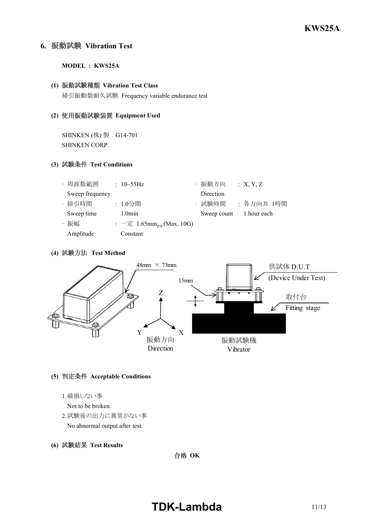### **6. Vibration Test**

**MODEL : KWS25A**

### **(1) Vibration Test Class**

掃引振動数耐久試験 Frequency variable endurance test

### **(2) Equipment Used**

SHINKEN (株) 製 G14-701 SHINKEN CORP.

### **(3) Test Conditions**

| ・周波数範囲          | : $10 \sim 55$ Hz                             | ・振動方向       | X, Y, Z     |
|-----------------|-----------------------------------------------|-------------|-------------|
| Sweep frequency |                                               | Direction   |             |
| · 掃引時間          | : 1.0分間                                       | ・試験時間       | :各方向共 1時間   |
| Sweep time      | $1.0$ min                                     | Sweep count | 1 hour each |
| ・振幅             | : $-\bar{x}$ 1.65mm <sub>p-p</sub> (Max. 10G) |             |             |
| Amplitude       | Constant                                      |             |             |

### **(4) Test Method**



### **(5) Acceptable Conditions**

1.破損しない事

Not to be broken.

2.試験後の出力に異常がない事

No abnormal output after test.

**(6) Test Results**

合格 OK

# **TDK-Lambda** 11/13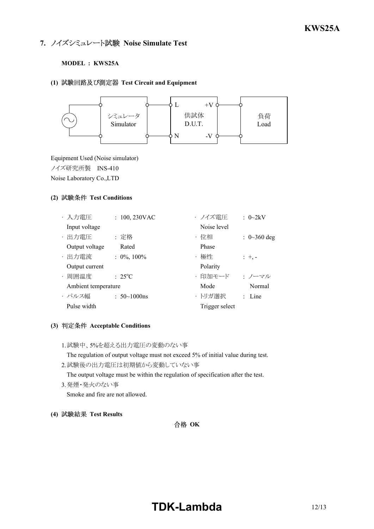### **7. ノイズシミュレート試験 Noise Simulate Test**

### **MODEL : KWS25A**

#### **(1) Test Circuit and Equipment**



Equipment Used (Noise simulator) ノイズ研究所製 INS410 Noise Laboratory Co.,LTD

### **(2) Test Conditions**

| ・入力電圧               | $: 100, 230$ VAC    | ・ノイズ雷圧         | : $0\sim2kV$               |
|---------------------|---------------------|----------------|----------------------------|
| Input voltage       |                     | Noise level    |                            |
| · 出力電圧              | : 定格                | ・位相            | : $0 \sim 360 \text{ deg}$ |
| Output voltage      | Rated               | Phase          |                            |
| · 出力電流              | $: 0\%, 100\%$      | ・極性            | $: +,-$                    |
| Output current      |                     | Polarity       |                            |
| · 周囲温度              | $: 25^{\circ}C$     | ・印加モード         | ・ノーマル                      |
| Ambient temperature |                     | Mode           | Normal                     |
| ・パルス幅               | : $50 \sim 1000$ ns | ・トリガ選択         | $:$ Line                   |
| Pulse width         |                     | Trigger select |                            |

### **(3) Acceptable Conditions**

1.試験中、5%を超える出力電圧の変動のない事

The regulation of output voltage must not exceed 5% of initial value during test.

- 2.試験後の出力電圧は初期値から変動していない事 The output voltage must be within the regulation of specification after the test.
- 3.発煙・発火のない事 Smoke and fire are not allowed.
- **(4) Test Results**

合格 OK

# **TDK-Lambda** 12/13